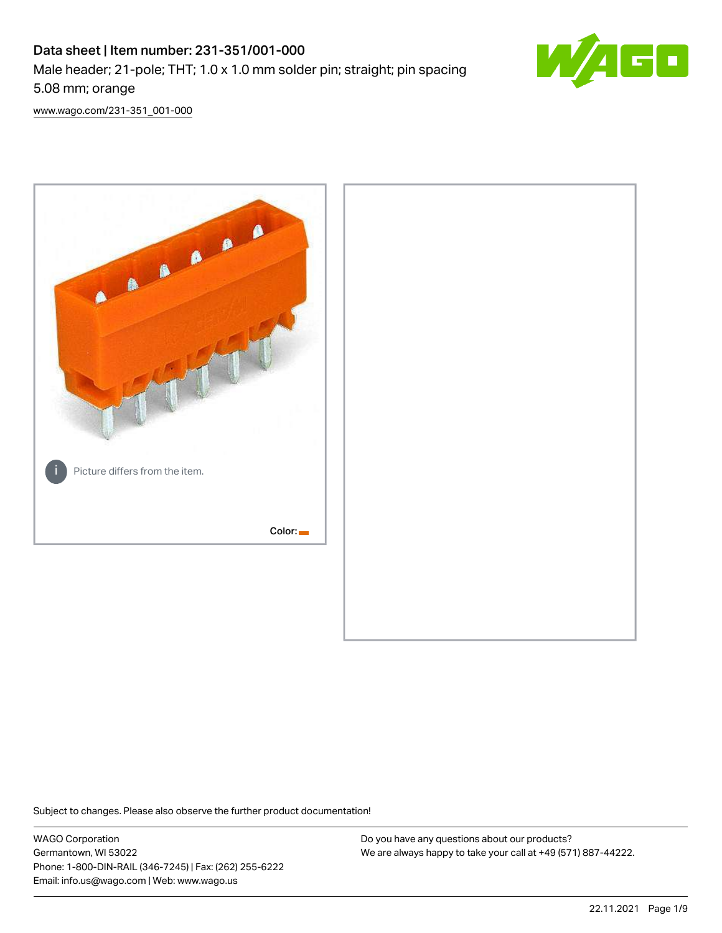# Data sheet | Item number: 231-351/001-000 Male header; 21-pole; THT; 1.0 x 1.0 mm solder pin; straight; pin spacing 5.08 mm; orange



[www.wago.com/231-351\\_001-000](http://www.wago.com/231-351_001-000)



Subject to changes. Please also observe the further product documentation!

WAGO Corporation Germantown, WI 53022 Phone: 1-800-DIN-RAIL (346-7245) | Fax: (262) 255-6222 Email: info.us@wago.com | Web: www.wago.us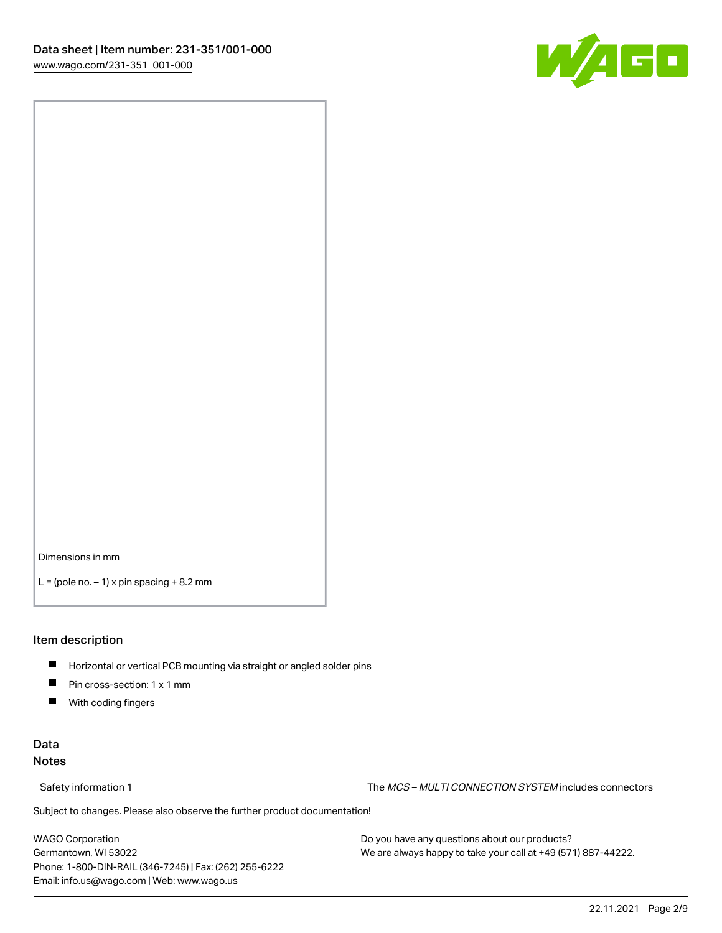

Dimensions in mm

 $L =$  (pole no.  $-1$ ) x pin spacing  $+8.2$  mm

### Item description

- **Horizontal or vertical PCB mounting via straight or angled solder pins**
- **Pin cross-section: 1 x 1 mm**
- $\blacksquare$ With coding fingers

# Data Notes

Safety information 1 The MCS – MULTI CONNECTION SYSTEM includes connectors

Subject to changes. Please also observe the further product documentation!  $\nu$ 

WAGO Corporation Germantown, WI 53022 Phone: 1-800-DIN-RAIL (346-7245) | Fax: (262) 255-6222 Email: info.us@wago.com | Web: www.wago.us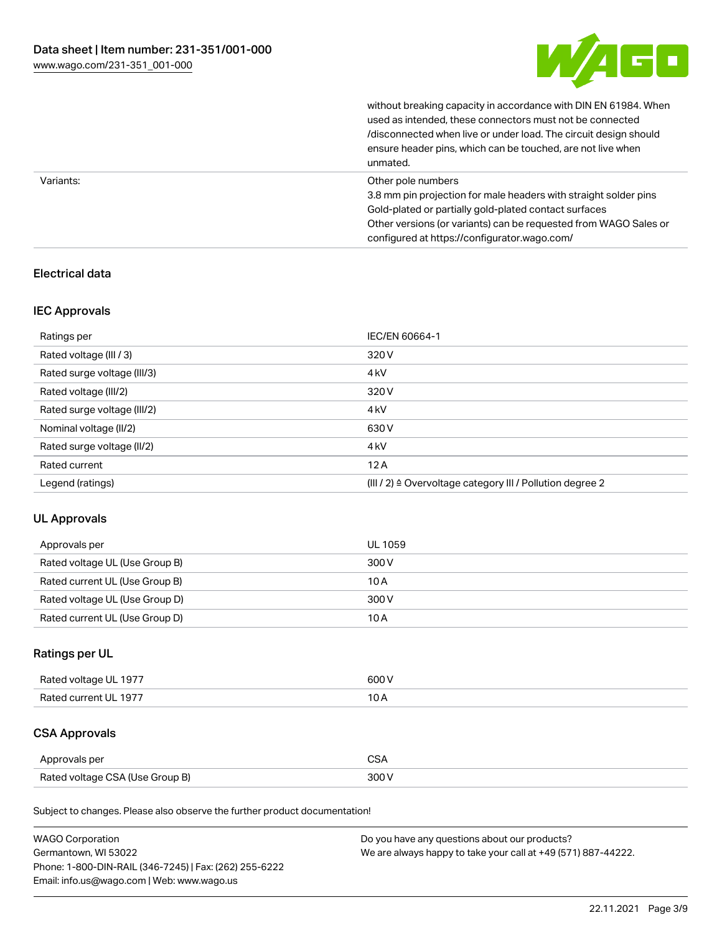

without breaking capacity in accordance with DIN EN 61984. When

|           | used as intended, these connectors must not be connected<br>/disconnected when live or under load. The circuit design should<br>ensure header pins, which can be touched, are not live when<br>unmated.                                                             |
|-----------|---------------------------------------------------------------------------------------------------------------------------------------------------------------------------------------------------------------------------------------------------------------------|
| Variants: | Other pole numbers<br>3.8 mm pin projection for male headers with straight solder pins<br>Gold-plated or partially gold-plated contact surfaces<br>Other versions (or variants) can be requested from WAGO Sales or<br>configured at https://configurator.wago.com/ |

# Electrical data

# IEC Approvals

| Ratings per                 | IEC/EN 60664-1                                                        |
|-----------------------------|-----------------------------------------------------------------------|
| Rated voltage (III / 3)     | 320 V                                                                 |
| Rated surge voltage (III/3) | 4 <sub>k</sub> V                                                      |
| Rated voltage (III/2)       | 320 V                                                                 |
| Rated surge voltage (III/2) | 4 <sub>k</sub> V                                                      |
| Nominal voltage (II/2)      | 630 V                                                                 |
| Rated surge voltage (II/2)  | 4 <sub>k</sub> V                                                      |
| Rated current               | 12A                                                                   |
| Legend (ratings)            | $(III / 2)$ $\triangle$ Overvoltage category III / Pollution degree 2 |

# UL Approvals

| Approvals per                  | UL 1059 |
|--------------------------------|---------|
| Rated voltage UL (Use Group B) | 300 V   |
| Rated current UL (Use Group B) | 10 A    |
| Rated voltage UL (Use Group D) | 300 V   |
| Rated current UL (Use Group D) | 10 A    |

# Ratings per UL

| Rated voltage UL 1977 | 600 V |
|-----------------------|-------|
| Rated current UL 1977 |       |

# CSA Approvals

| Approvals per                   | $\sim$ |
|---------------------------------|--------|
| Rated voltage CSA (Use Group B) | 300 V  |

Subject to changes. Please also observe the further product documentation!

| <b>WAGO Corporation</b>                                | Do you have any questions about our products?                 |
|--------------------------------------------------------|---------------------------------------------------------------|
| Germantown, WI 53022                                   | We are always happy to take your call at +49 (571) 887-44222. |
| Phone: 1-800-DIN-RAIL (346-7245)   Fax: (262) 255-6222 |                                                               |
| Email: info.us@wago.com   Web: www.wago.us             |                                                               |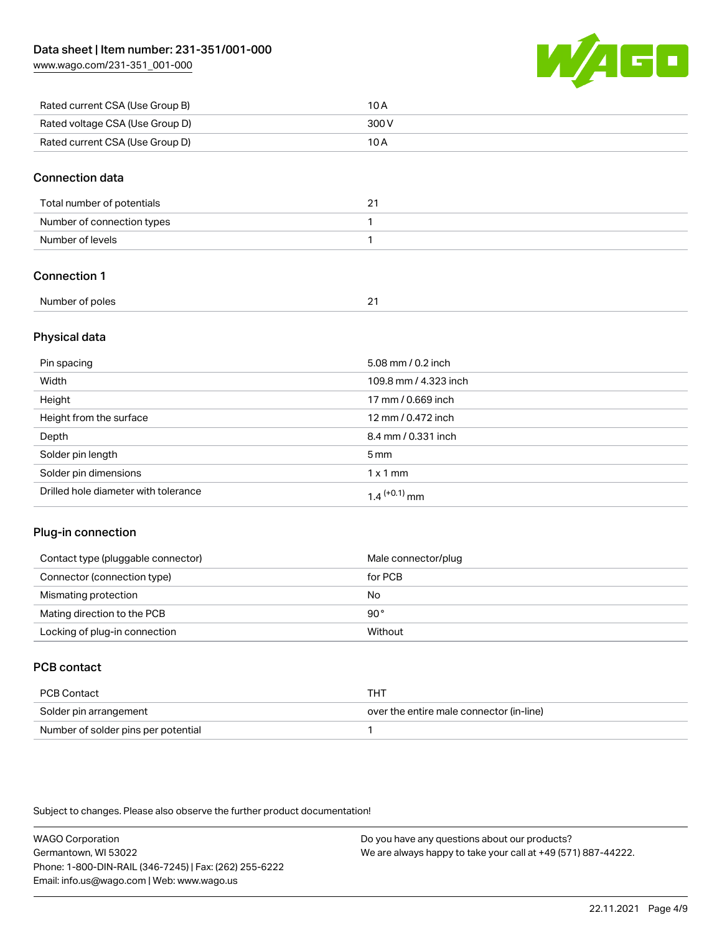[www.wago.com/231-351\\_001-000](http://www.wago.com/231-351_001-000)



| Rated current CSA (Use Group B) | 10 A  |
|---------------------------------|-------|
| Rated voltage CSA (Use Group D) | 300 V |
| Rated current CSA (Use Group D) | 10 A  |

### Connection data

| Total number of potentials | <u>.</u> |
|----------------------------|----------|
| Number of connection types |          |
| Number of levels           |          |

# Connection 1

| Number of poles |  |
|-----------------|--|
|                 |  |

# Physical data

| Pin spacing                          | 5.08 mm / 0.2 inch    |
|--------------------------------------|-----------------------|
| Width                                | 109.8 mm / 4.323 inch |
| Height                               | 17 mm / 0.669 inch    |
| Height from the surface              | 12 mm / 0.472 inch    |
| Depth                                | 8.4 mm / 0.331 inch   |
| Solder pin length                    | $5 \,\mathrm{mm}$     |
| Solder pin dimensions                | $1 \times 1$ mm       |
| Drilled hole diameter with tolerance | $1.4$ $(+0.1)$ mm     |

# Plug-in connection

| Contact type (pluggable connector) | Male connector/plug |
|------------------------------------|---------------------|
| Connector (connection type)        | for PCB             |
| Mismating protection               | No                  |
| Mating direction to the PCB        | 90°                 |
| Locking of plug-in connection      | Without             |

# PCB contact

| PCB Contact                         | тнт                                      |
|-------------------------------------|------------------------------------------|
| Solder pin arrangement              | over the entire male connector (in-line) |
| Number of solder pins per potential |                                          |

Subject to changes. Please also observe the further product documentation!

WAGO Corporation Germantown, WI 53022 Phone: 1-800-DIN-RAIL (346-7245) | Fax: (262) 255-6222 Email: info.us@wago.com | Web: www.wago.us Do you have any questions about our products? We are always happy to take your call at +49 (571) 887-44222.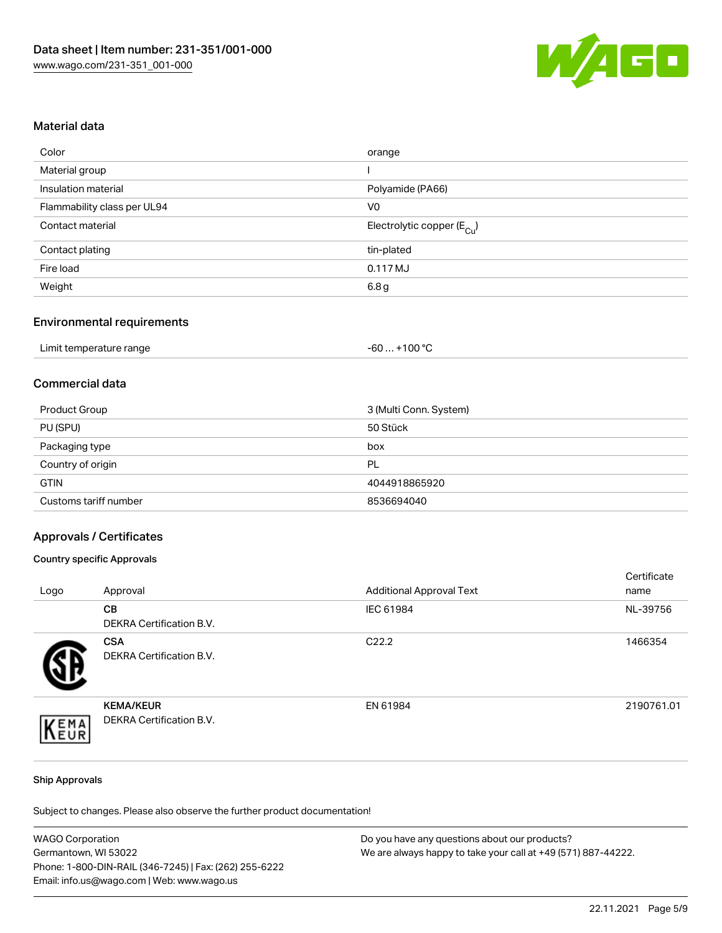

### Material data

| Color                       | orange                                 |
|-----------------------------|----------------------------------------|
| Material group              |                                        |
| Insulation material         | Polyamide (PA66)                       |
| Flammability class per UL94 | V <sub>0</sub>                         |
| Contact material            | Electrolytic copper (E <sub>Cu</sub> ) |
| Contact plating             | tin-plated                             |
| Fire load                   | 0.117 MJ                               |
| Weight                      | 6.8 <sub>g</sub>                       |

# Environmental requirements

| Limit temperature range | $+100 °C$<br>-60 |
|-------------------------|------------------|
|-------------------------|------------------|

# Commercial data

| Product Group         | 3 (Multi Conn. System) |
|-----------------------|------------------------|
| PU (SPU)              | 50 Stück               |
| Packaging type        | box                    |
| Country of origin     | PL                     |
| <b>GTIN</b>           | 4044918865920          |
| Customs tariff number | 8536694040             |

### Approvals / Certificates

### Country specific Approvals

| Logo | Approval                                            | <b>Additional Approval Text</b> | Certificate<br>name |
|------|-----------------------------------------------------|---------------------------------|---------------------|
|      | <b>CB</b><br><b>DEKRA Certification B.V.</b>        | IEC 61984                       | NL-39756            |
|      | <b>CSA</b><br><b>DEKRA Certification B.V.</b>       | C <sub>22.2</sub>               | 1466354             |
| EMA  | <b>KEMA/KEUR</b><br><b>DEKRA Certification B.V.</b> | EN 61984                        | 2190761.01          |

#### Ship Approvals

Subject to changes. Please also observe the further product documentation!

| <b>WAGO Corporation</b>                                | Do you have any questions about our products?                 |
|--------------------------------------------------------|---------------------------------------------------------------|
| Germantown, WI 53022                                   | We are always happy to take your call at +49 (571) 887-44222. |
| Phone: 1-800-DIN-RAIL (346-7245)   Fax: (262) 255-6222 |                                                               |
| Email: info.us@wago.com   Web: www.wago.us             |                                                               |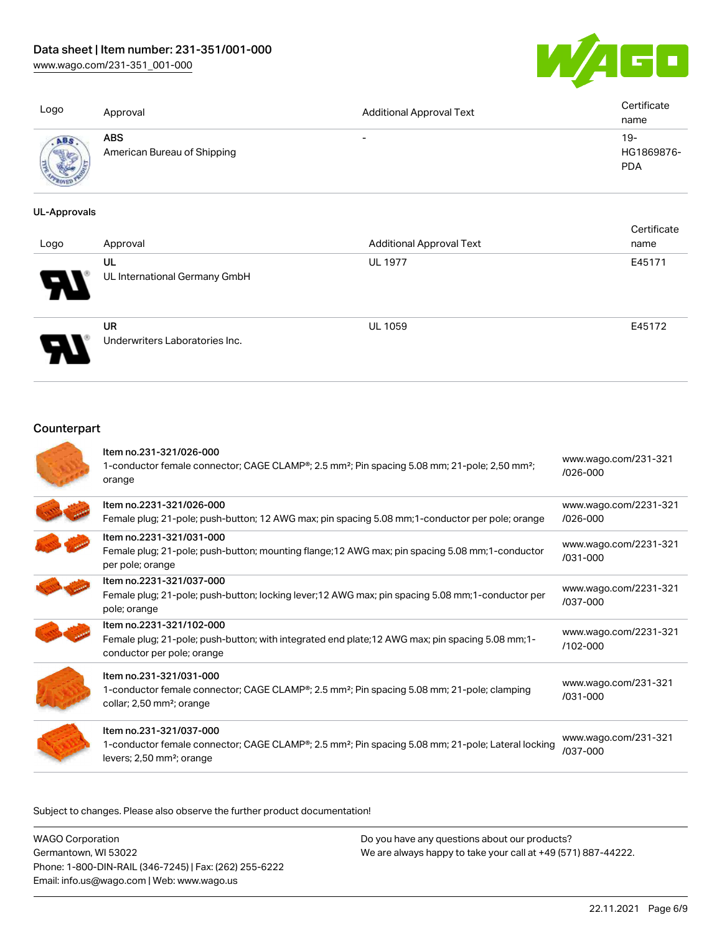[www.wago.com/231-351\\_001-000](http://www.wago.com/231-351_001-000)



| Logo | Approval                                  | <b>Additional Approval Text</b> | Certificate<br>name             |
|------|-------------------------------------------|---------------------------------|---------------------------------|
| ABS  | <b>ABS</b><br>American Bureau of Shipping | $\overline{\phantom{0}}$        | 19-<br>HG1869876-<br><b>PDA</b> |

### UL-Approvals

| Logo   | Approval                                    | <b>Additional Approval Text</b> | Certificate<br>name |
|--------|---------------------------------------------|---------------------------------|---------------------|
| 8<br>Ŋ | UL<br>UL International Germany GmbH         | <b>UL 1977</b>                  | E45171              |
|        | <b>UR</b><br>Underwriters Laboratories Inc. | <b>UL 1059</b>                  | E45172              |

# **Counterpart**

| Item no.231-321/026-000<br>1-conductor female connector; CAGE CLAMP <sup>®</sup> ; 2.5 mm <sup>2</sup> ; Pin spacing 5.08 mm; 21-pole; 2,50 mm <sup>2</sup> ;<br>orange                         | www.wago.com/231-321<br>/026-000      |
|-------------------------------------------------------------------------------------------------------------------------------------------------------------------------------------------------|---------------------------------------|
| Item no.2231-321/026-000<br>Female plug; 21-pole; push-button; 12 AWG max; pin spacing 5.08 mm; 1-conductor per pole; orange                                                                    | www.wago.com/2231-321<br>$/026 - 000$ |
| Item no.2231-321/031-000<br>Female plug; 21-pole; push-button; mounting flange; 12 AWG max; pin spacing 5.08 mm; 1-conductor<br>per pole; orange                                                | www.wago.com/2231-321<br>$/031 - 000$ |
| Item no.2231-321/037-000<br>Female plug; 21-pole; push-button; locking lever; 12 AWG max; pin spacing 5.08 mm; 1-conductor per<br>pole; orange                                                  | www.wago.com/2231-321<br>/037-000     |
| Item no.2231-321/102-000<br>Female plug; 21-pole; push-button; with integrated end plate; 12 AWG max; pin spacing 5.08 mm; 1-<br>conductor per pole; orange                                     | www.wago.com/2231-321<br>$/102 - 000$ |
| Item no.231-321/031-000<br>1-conductor female connector; CAGE CLAMP <sup>®</sup> ; 2.5 mm <sup>2</sup> ; Pin spacing 5.08 mm; 21-pole; clamping<br>collar; 2,50 mm <sup>2</sup> ; orange        | www.wago.com/231-321<br>$/031 - 000$  |
| Item no.231-321/037-000<br>1-conductor female connector; CAGE CLAMP <sup>®</sup> ; 2.5 mm <sup>2</sup> ; Pin spacing 5.08 mm; 21-pole; Lateral locking<br>levers; 2,50 mm <sup>2</sup> ; orange | www.wago.com/231-321<br>/037-000      |

Subject to changes. Please also observe the further product documentation!

WAGO Corporation Germantown, WI 53022 Phone: 1-800-DIN-RAIL (346-7245) | Fax: (262) 255-6222 Email: info.us@wago.com | Web: www.wago.us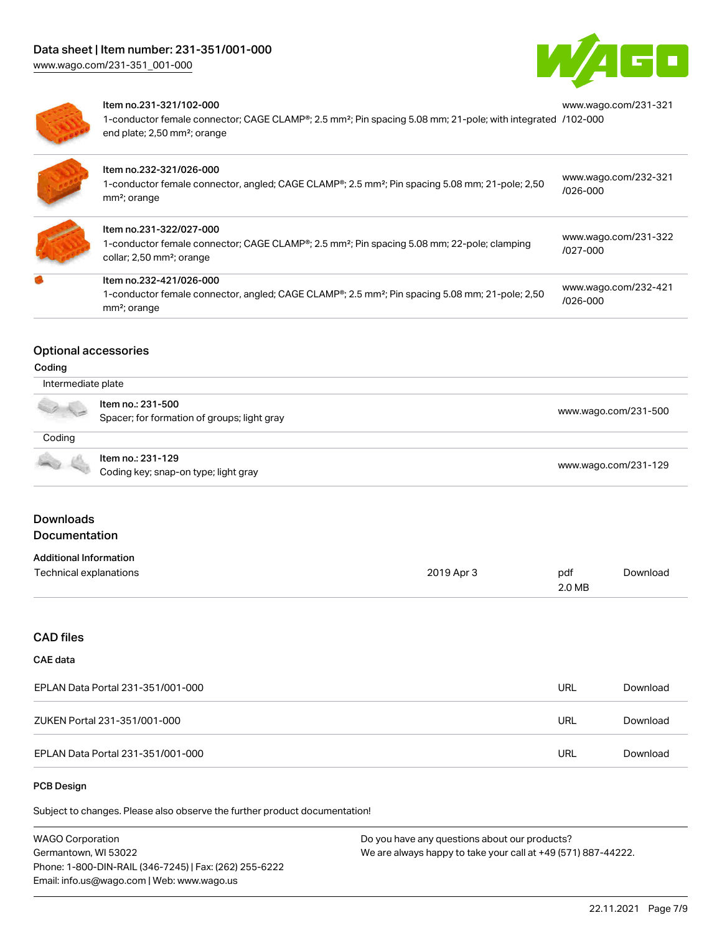

[www.wago.com/231-321](https://www.wago.com/231-321/102-000)



#### Item no.231-321/102-000

1-conductor female connector; CAGE CLAMP®; 2.5 mm²; Pin spacing 5.08 mm; 21-pole; with integrated [/102-000](https://www.wago.com/231-321/102-000) end plate; 2,50 mm²; orange

| Item no.232-321/026-000<br>1-conductor female connector, angled; CAGE CLAMP®; 2.5 mm <sup>2</sup> ; Pin spacing 5.08 mm; 21-pole; 2,50<br>$mm2$ ; orange                        | www.wago.com/232-321<br>$/026 - 000$ |
|---------------------------------------------------------------------------------------------------------------------------------------------------------------------------------|--------------------------------------|
| Item no.231-322/027-000<br>1-conductor female connector; CAGE CLAMP®; 2.5 mm <sup>2</sup> ; Pin spacing 5.08 mm; 22-pole; clamping<br>collar; 2,50 mm <sup>2</sup> ; orange     | www.wago.com/231-322<br>/027-000     |
| Item no.232-421/026-000<br>1-conductor female connector, angled; CAGE CLAMP <sup>®</sup> ; 2.5 mm <sup>2</sup> ; Pin spacing 5.08 mm; 21-pole; 2,50<br>mm <sup>2</sup> ; orange | www.wago.com/232-421<br>$/026 - 000$ |

### Optional accessories

#### Coding

| Intermediate plate |                                             |                      |  |
|--------------------|---------------------------------------------|----------------------|--|
|                    | Item no.: 231-500                           |                      |  |
| a de               | Spacer; for formation of groups; light gray | www.wago.com/231-500 |  |
| Coding             |                                             |                      |  |
|                    | Item no.: 231-129                           | www.wago.com/231-129 |  |
|                    | Coding key; snap-on type; light gray        |                      |  |

# Downloads Documentation

#### Additional Information

| Additional information |            |        |          |
|------------------------|------------|--------|----------|
| Technical explanations | 2019 Apr 3 | pdf    | Download |
|                        |            | 2.0 MB |          |

### CAD files

### CAE data

| EPLAN Data Portal 231-351/001-000 | URL | Download |
|-----------------------------------|-----|----------|
| ZUKEN Portal 231-351/001-000      | URL | Download |
| EPLAN Data Portal 231-351/001-000 | URL | Download |

### PCB Design

Subject to changes. Please also observe the further product documentation!

WAGO Corporation Germantown, WI 53022 Phone: 1-800-DIN-RAIL (346-7245) | Fax: (262) 255-6222 Email: info.us@wago.com | Web: www.wago.us Do you have any questions about our products? We are always happy to take your call at +49 (571) 887-44222.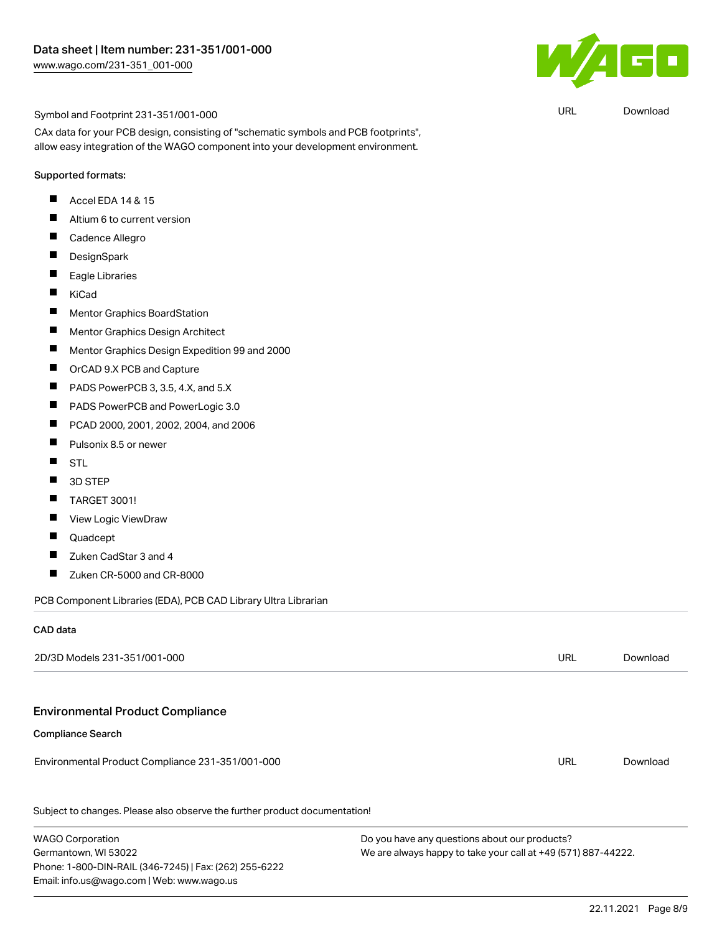

URL [Download](https://www.wago.com/global/d/UltraLibrarian_URLS_231-351_001-000)

#### Symbol and Footprint 231-351/001-000

CAx data for your PCB design, consisting of "schematic symbols and PCB footprints", allow easy integration of the WAGO component into your development environment.

#### Supported formats:

- $\blacksquare$ Accel EDA 14 & 15
- $\blacksquare$ Altium 6 to current version
- $\blacksquare$ Cadence Allegro
- $\blacksquare$ **DesignSpark**
- $\blacksquare$ Eagle Libraries
- $\blacksquare$ KiCad
- $\blacksquare$ Mentor Graphics BoardStation
- $\blacksquare$ Mentor Graphics Design Architect
- $\blacksquare$ Mentor Graphics Design Expedition 99 and 2000
- $\blacksquare$ OrCAD 9.X PCB and Capture
- $\blacksquare$ PADS PowerPCB 3, 3.5, 4.X, and 5.X
- $\blacksquare$ PADS PowerPCB and PowerLogic 3.0
- $\blacksquare$ PCAD 2000, 2001, 2002, 2004, and 2006
- $\blacksquare$ Pulsonix 8.5 or newer
- $\blacksquare$ **STL**
- $\blacksquare$ 3D STEP
- $\blacksquare$ TARGET 3001!
- $\blacksquare$ View Logic ViewDraw
- $\blacksquare$ Quadcept
- $\blacksquare$ Zuken CadStar 3 and 4
- П Zuken CR-5000 and CR-8000

PCB Component Libraries (EDA), PCB CAD Library Ultra Librarian

Phone: 1-800-DIN-RAIL (346-7245) | Fax: (262) 255-6222

Email: info.us@wago.com | Web: www.wago.us

### CAD data

| 2D/3D Models 231-351/001-000                                               |                                                                 | URL | Download |
|----------------------------------------------------------------------------|-----------------------------------------------------------------|-----|----------|
|                                                                            |                                                                 |     |          |
| <b>Environmental Product Compliance</b>                                    |                                                                 |     |          |
| <b>Compliance Search</b>                                                   |                                                                 |     |          |
| Environmental Product Compliance 231-351/001-000                           |                                                                 | URL | Download |
| Subject to changes. Please also observe the further product documentation! |                                                                 |     |          |
| <b>WAGO Corporation</b>                                                    | Do you have any questions about our products?                   |     |          |
| Germantown, WI 53022                                                       | We are always happy to take your call at $+49$ (571) 887-44222. |     |          |